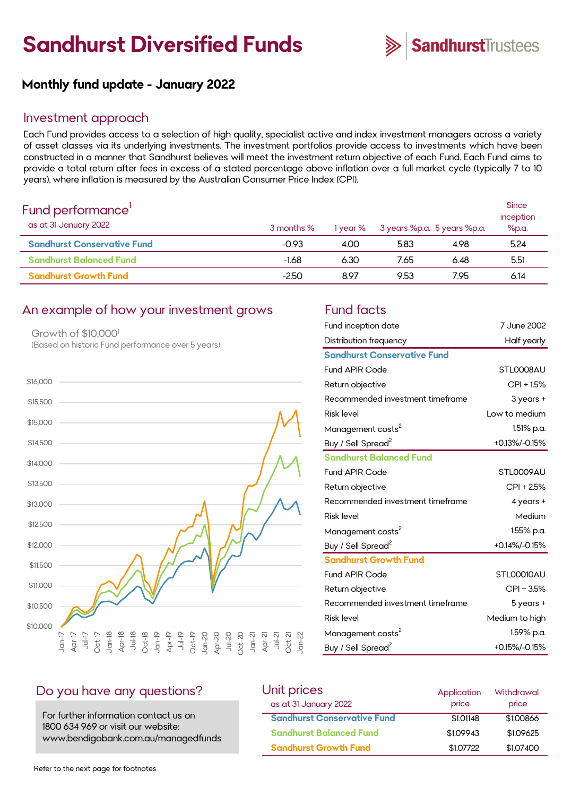# **Sandhurst Diversified Funds**



## **Monthly fund update - January 2022**

#### Investment approach

Each Fund provides access to a selection of high quality, specialist active and index investment managers across a variety of asset classes via its underlying investments. The investment portfolios provide access to investments which have been constructed in a manner that Sandhurst believes will meet the investment return objective of each Fund. Each Fund aims to provide a total return after fees in excess of a stated percentage above inflation over a full market cycle (typically 7 to 10 years), where inflation is measured by the Australian Consumer Price Index (CPI).

| Fund performance'<br>as at 31 January 2022 | 3 months % | 1 year % | 3 years %p.a. 5 years %p.a. |      | Since<br>inception<br>%p.a. |
|--------------------------------------------|------------|----------|-----------------------------|------|-----------------------------|
| <b>Sandhurst Conservative Fund</b>         | $-0.93$    | 4.00     | 5.83                        | 4.98 | 5.24                        |
| <b>Sandhurst Balanced Fund</b>             | $-1.68$    | 6.30     | 7.65                        | 6.48 | 5.51                        |
| <b>Sandhurst Growth Fund</b>               | $-2.50$    | 8.97     | 9.53                        | 7.95 | 6.14                        |

#### An example of how your investment grows Fund facts

Growth of \$10,000<sup>1</sup> (Based on historic Fund performance over 5 years)



| Fund inception date                | 7 June 2002    |
|------------------------------------|----------------|
| Distribution frequency             | Half yearly    |
| <b>Sandhurst Conservative Fund</b> |                |
| <b>Fund APIR Code</b>              | STLOOO8AU      |
| Return objective                   | $CPI + 1.5%$   |
| Recommended investment timeframe   | $3$ years $+$  |
| <b>Risk level</b>                  | Low to medium  |
| Management costs <sup>2</sup>      | 1.51% p.a.     |
| Buy / Sell Spread <sup>2</sup>     | +0.13%/-0.15%  |
| <b>Sandhurst Balanced Fund</b>     |                |
| <b>Fund APIR Code</b>              | STL0009AU      |
| Return objective                   | CPI + 2.5%     |
| Recommended investment timeframe   | 4 years +      |
| <b>Risk level</b>                  | Medium         |
| Management costs <sup>2</sup>      | 1.55% p.a.     |
| Buy / Sell Spread <sup>2</sup>     | +0.14%/-0.15%  |
| <b>Sandhurst Growth Fund</b>       |                |
| <b>Fund APIR Code</b>              | STLOOO10AU     |
| Return objective                   | CPI + 3.5%     |
| Recommended investment timeframe   | 5 years +      |
| <b>Risk level</b>                  | Medium to high |
| Management costs <sup>2</sup>      | 1.59% p.a.     |
| Buy / Sell Spread <sup>2</sup>     | +0.15%/-0.15%  |

#### Do you have any questions?

For further information contact us on 1800 634 969 or visit our website: www.bendigobank.com.au/managedfunds

| Unit prices                        | Application | Withdrawal |
|------------------------------------|-------------|------------|
| as at 31 January 2022              | price       | price      |
| <b>Sandhurst Conservative Fund</b> | \$1,01148   | \$1,00866  |
| <b>Sandhurst Balanced Fund</b>     | \$1,09943   | \$1,09625  |
| <b>Sandhurst Growth Fund</b>       | \$1,07722   | \$1,07400  |